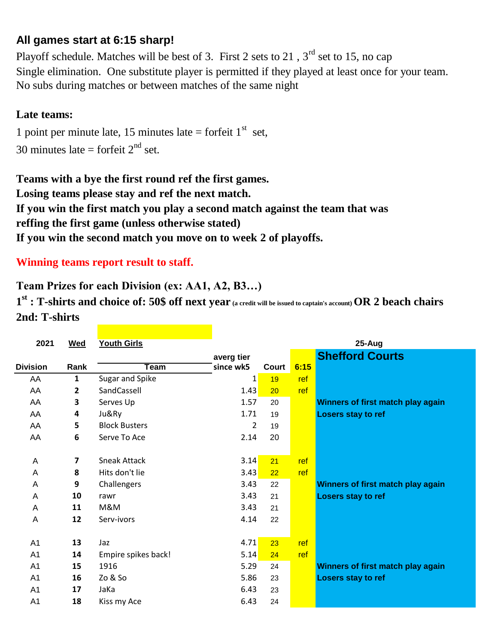## **All games start at 6:15 sharp!**

No subs during matches or between matches of the same night Playoff schedule. Matches will be best of 3. First 2 sets to 21,  $3<sup>rd</sup>$  set to 15, no cap Single elimination. One substitute player is permitted if they played at least once for your team.

## **Late teams:**

30 minutes late = forfeit  $2<sup>nd</sup>$  set. 1 point per minute late, 15 minutes late = forfeit  $1<sup>st</sup>$  set,

**Teams with a bye the first round ref the first games. Losing teams please stay and ref the next match. If you win the first match you play a second match against the team that was If you win the second match you move on to week 2 of playoffs. reffing the first game (unless otherwise stated)**

## **Winning teams report result to staff.**

## **Team Prizes for each Division (ex: AA1, A2, B3…)**

**1 st : T-shirts and choice of: 50\$ off next year (a credit will be issued to captain's account) OR 2 beach chairs 2nd: T-shirts**

| 2021            | <b>Wed</b> | <b>Youth Girls</b>   | 25-Aug                  |       |      |                                   |  |  |
|-----------------|------------|----------------------|-------------------------|-------|------|-----------------------------------|--|--|
|                 |            |                      |                         |       |      | <b>Shefford Courts</b>            |  |  |
| <b>Division</b> | Rank       | <b>Team</b>          | averg tier<br>since wk5 | Court | 6:15 |                                   |  |  |
| AA              | 1          | Sugar and Spike      | $\mathbf{1}$            | 19    | ref  |                                   |  |  |
| AA              | 2          | SandCassell          | 1.43                    | 20    | ref  |                                   |  |  |
| AA              | 3          | Serves Up            | 1.57                    | 20    |      | Winners of first match play again |  |  |
| AA              | 4          | Ju&Ry                | 1.71                    | 19    |      | Losers stay to ref                |  |  |
| AA              | 5          | <b>Block Busters</b> | $\overline{2}$          | 19    |      |                                   |  |  |
| AA              | 6          | Serve To Ace         | 2.14                    | 20    |      |                                   |  |  |
|                 |            |                      |                         |       |      |                                   |  |  |
| A               | 7          | <b>Sneak Attack</b>  | 3.14                    | 21    | ref  |                                   |  |  |
| A               | 8          | Hits don't lie       | 3.43                    | 22    | ref  |                                   |  |  |
| Α               | 9          | Challengers          | 3.43                    | 22    |      | Winners of first match play again |  |  |
| A               | 10         | rawr                 | 3.43                    | 21    |      | <b>Losers stay to ref</b>         |  |  |
| A               | 11         | M&M                  | 3.43                    | 21    |      |                                   |  |  |
| A               | 12         | Serv-ivors           | 4.14                    | 22    |      |                                   |  |  |
|                 |            |                      |                         |       |      |                                   |  |  |
| A <sub>1</sub>  | 13         | Jaz                  | 4.71                    | 23    | ref  |                                   |  |  |
| A <sub>1</sub>  | 14         | Empire spikes back!  | 5.14                    | 24    | ref  |                                   |  |  |
| A <sub>1</sub>  | 15         | 1916                 | 5.29                    | 24    |      | Winners of first match play again |  |  |
| A <sub>1</sub>  | 16         | Zo & So              | 5.86                    | 23    |      | <b>Losers stay to ref</b>         |  |  |
| A <sub>1</sub>  | 17         | JaKa                 | 6.43                    | 23    |      |                                   |  |  |
| A <sub>1</sub>  | 18         | Kiss my Ace          | 6.43                    | 24    |      |                                   |  |  |
|                 |            |                      |                         |       |      |                                   |  |  |